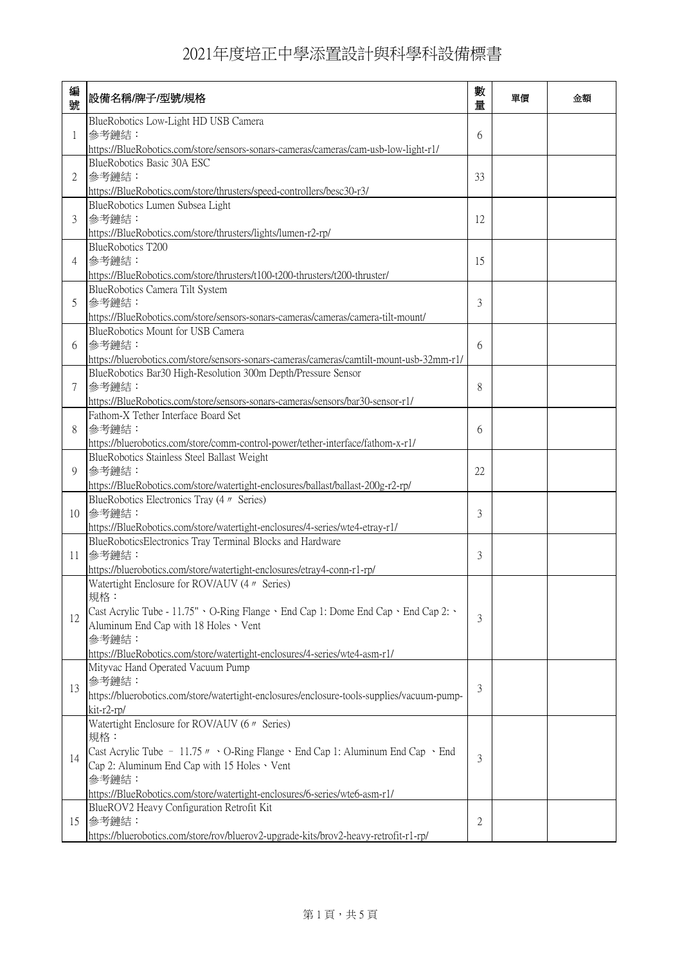| 編<br>號 | 設備名稱/牌子/型號/規格                                                                                                                                                                                                                                                                                                  | 數<br>量 | 單價 | 金額 |
|--------|----------------------------------------------------------------------------------------------------------------------------------------------------------------------------------------------------------------------------------------------------------------------------------------------------------------|--------|----|----|
| 1      | BlueRobotics Low-Light HD USB Camera<br>參考鏈結:<br>https://BlueRobotics.com/store/sensors-sonars-cameras/cameras/cam-usb-low-light-r1/                                                                                                                                                                           | 6      |    |    |
| 2      | BlueRobotics Basic 30A ESC<br>參考鏈結:<br>https://BlueRobotics.com/store/thrusters/speed-controllers/besc30-r3/                                                                                                                                                                                                   | 33     |    |    |
| 3      | BlueRobotics Lumen Subsea Light<br>參考鏈結:<br>https://BlueRobotics.com/store/thrusters/lights/lumen-r2-rp/                                                                                                                                                                                                       | 12     |    |    |
| 4      | BlueRobotics T200<br>參考鏈結:<br>https://BlueRobotics.com/store/thrusters/t100-t200-thrusters/t200-thruster/                                                                                                                                                                                                      | 15     |    |    |
| 5      | BlueRobotics Camera Tilt System<br>參考鏈結:<br>https://BlueRobotics.com/store/sensors-sonars-cameras/cameras/camera-tilt-mount/                                                                                                                                                                                   | 3      |    |    |
| 6      | BlueRobotics Mount for USB Camera<br>參考鏈結:<br>https://bluerobotics.com/store/sensors-sonars-cameras/cameras/camtilt-mount-usb-32mm-r1/                                                                                                                                                                         | 6      |    |    |
| 7      | BlueRobotics Bar30 High-Resolution 300m Depth/Pressure Sensor<br>參考鏈結:<br>https://BlueRobotics.com/store/sensors-sonars-cameras/sensors/bar30-sensor-r1/                                                                                                                                                       | 8      |    |    |
| 8      | Fathom-X Tether Interface Board Set<br>參考鏈結:<br>https://bluerobotics.com/store/comm-control-power/tether-interface/fathom-x-r1/                                                                                                                                                                                | 6      |    |    |
| 9      | BlueRobotics Stainless Steel Ballast Weight<br>參考鏈結:<br>https://BlueRobotics.com/store/watertight-enclosures/ballast/ballast-200g-r2-rp/                                                                                                                                                                       | 22     |    |    |
| 10     | BlueRobotics Electronics Tray (4 <i>n</i> Series)<br>參考鏈結:<br>https://BlueRobotics.com/store/watertight-enclosures/4-series/wte4-etray-r1/                                                                                                                                                                     | 3      |    |    |
| 11     | BlueRoboticsElectronics Tray Terminal Blocks and Hardware<br>参考鏈結:<br>https://bluerobotics.com/store/watertight-enclosures/etray4-conn-r1-rp/                                                                                                                                                                  | 3      |    |    |
| 12     | Watertight Enclosure for ROV/AUV (4 <i>n</i> Series)<br>規格:<br>Cast Acrylic Tube - 11.75" 、O-Ring Flange、End Cap 1: Dome End Cap、End Cap 2:、<br>Aluminum End Cap with 18 Holes · Vent<br>參考鏈結:<br>https://BlueRobotics.com/store/watertight-enclosures/4-series/wte4-asm-r1/                                   | 3      |    |    |
| 13     | Mityvac Hand Operated Vacuum Pump<br>参考鏈結:<br>https://bluerobotics.com/store/watertight-enclosures/enclosure-tools-supplies/vacuum-pump-<br>kit-r2-rp/                                                                                                                                                         | 3      |    |    |
| 14     | Watertight Enclosure for ROV/AUV (6 $\textit{W}$ Series)<br>規格:<br>Cast Acrylic Tube - 11.75 $\mu \cdot O$ -Ring Flange $\cdot$ End Cap 1: Aluminum End Cap $\cdot$ End<br>Cap 2: Aluminum End Cap with 15 Holes · Vent<br>参考鏈結:<br>https://BlueRobotics.com/store/watertight-enclosures/6-series/wte6-asm-r1/ | 3      |    |    |
| 15     | BlueROV2 Heavy Configuration Retrofit Kit<br>參考鏈結:<br>https://bluerobotics.com/store/rov/bluerov2-upgrade-kits/brov2-heavy-retrofit-r1-rp/                                                                                                                                                                     | 2      |    |    |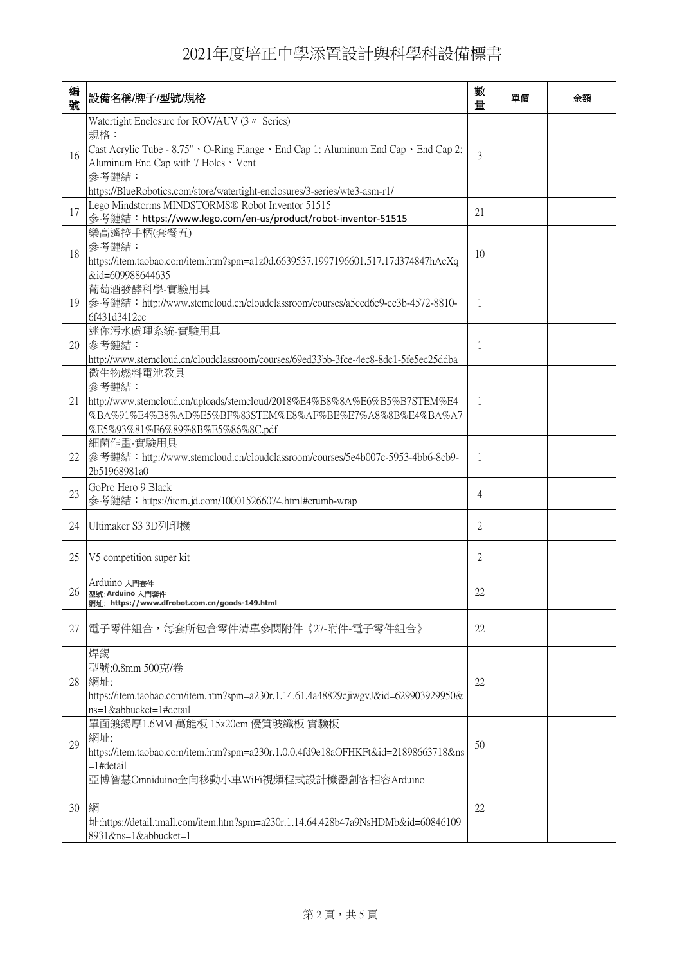| 編<br>號 | 設備名稱/牌子/型號/規格                                                                                                                                                                                                                                                                                       | 數<br>量         | 單價 | 金額 |
|--------|-----------------------------------------------------------------------------------------------------------------------------------------------------------------------------------------------------------------------------------------------------------------------------------------------------|----------------|----|----|
| 16     | Watertight Enclosure for ROV/AUV (3 <i>n</i> Series)<br>規格:<br>Cast Acrylic Tube - $8.75" \cdot O-Ring Flange \cdot End Cap 1$ : Aluminum End Cap $\cdot$ End Cap 2:<br>Aluminum End Cap with 7 Holes · Vent<br>參考鏈結:<br>https://BlueRobotics.com/store/watertight-enclosures/3-series/wte3-asm-r1/ | 3              |    |    |
| 17     | Lego Mindstorms MINDSTORMS® Robot Inventor 51515<br>參考鏈結:https://www.lego.com/en-us/product/robot-inventor-51515                                                                                                                                                                                    | 21             |    |    |
| 18     | 樂高遙控手柄(套餐五)<br>參考鏈結:<br>https://item.taobao.com/item.htm?spm=a1z0d.6639537.1997196601.517.17d374847hAcXq<br>&id=609988644635                                                                                                                                                                        | 10             |    |    |
| 19     | 葡萄酒發酵科學-實驗用具<br>参考鏈結: http://www.stemcloud.cn/cloudclassroom/courses/a5ced6e9-ec3b-4572-8810-<br>6f431d3412ce                                                                                                                                                                                       | 1              |    |    |
| 20     | 迷你污水處理系統-實驗用具<br>參考鏈結:<br>http://www.stemcloud.cn/cloudclassroom/courses/69ed33bb-3fce-4ec8-8dc1-5fe5ec25ddba                                                                                                                                                                                       | 1              |    |    |
| 21     | 微生物燃料電池教具<br>參考鏈結:<br>http://www.stemcloud.cn/uploads/stemcloud/2018%E4%B8%8A%E6%B5%B7STEM%E4<br>%BA%91%E4%B8%AD%E5%BF%83STEM%E8%AF%BE%E7%A8%8B%E4%BA%A7<br>%E5%93%81%E6%89%8B%E5%86%8C.pdf                                                                                                         | 1              |    |    |
| 22     | 細菌作畫-實驗用具<br>参考鏈結:http://www.stemcloud.cn/cloudclassroom/courses/5e4b007c-5953-4bb6-8cb9-<br>2b51968981a0                                                                                                                                                                                           | 1              |    |    |
| 23     | GoPro Hero 9 Black<br>參考鏈結:https://item.jd.com/100015266074.html#crumb-wrap                                                                                                                                                                                                                         | 4              |    |    |
| 24     | Ultimaker S3 3D列印機                                                                                                                                                                                                                                                                                  | $\overline{2}$ |    |    |
| 25     | V5 competition super kit                                                                                                                                                                                                                                                                            | $\overline{2}$ |    |    |
|        | Arduino 入門套件<br>26 型號: Arduino 入門套件<br>網址: https://www.dfrobot.com.cn/goods-149.html                                                                                                                                                                                                                | 22             |    |    |
| 27     | 電子零件組合,每套所包含零件清單參閱附件《27-附件-電子零件組合》                                                                                                                                                                                                                                                                  | 22             |    |    |
| 28     | 焊錫<br>型號:0.8mm 500克/卷<br>網址:<br>https://item.taobao.com/item.htm?spm=a230r.1.14.61.4a48829cjiwgvJ&id=629903929950&<br>ns=1&abbucket=1#detail                                                                                                                                                        | 22             |    |    |
| 29     | 單面鍍錫厚1.6MM 萬能板 15x20cm 優質玻纖板 實驗板<br>網址:<br>https://item.taobao.com/item.htm?spm=a230r.1.0.0.4fd9e18aOFHKFt&id=21898663718&ns<br>=1#detail                                                                                                                                                           | 50             |    |    |
| 30     | 亞博智慧Omniduino全向移動小車WiFi視頻程式設計機器創客相容Arduino<br>網<br>th:https://detail.tmall.com/item.htm?spm=a230r.1.14.64.428b47a9NsHDMb&id=60846109<br>8931&ns=1&abbucket=1                                                                                                                                        | 22             |    |    |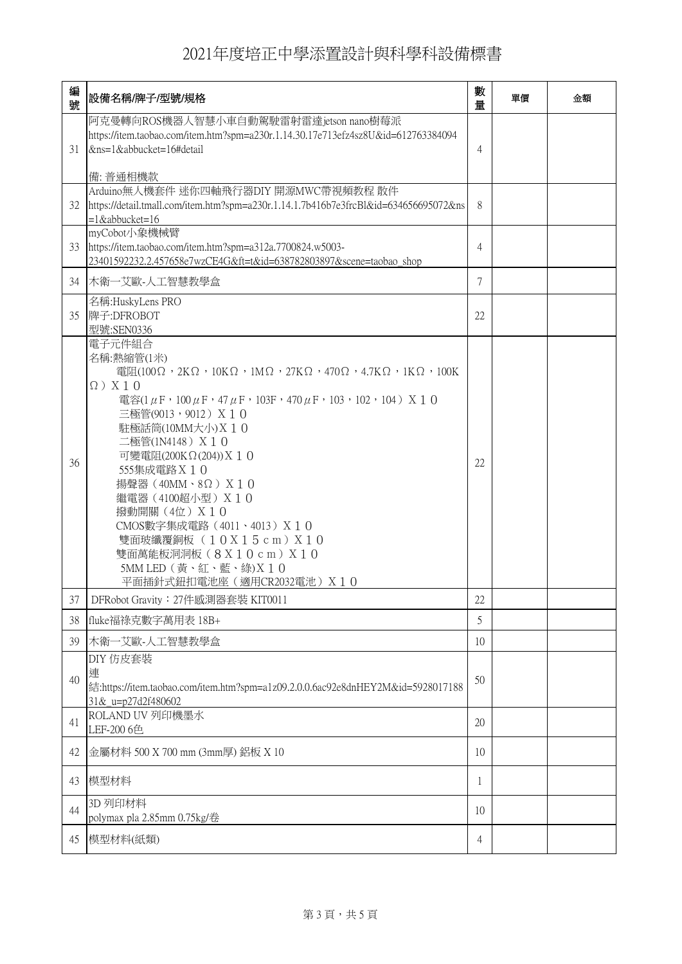| 編<br>號 | 設備名稱/牌子/型號/規格                                                                                                                                                                                                                                                                                                                                                                                                                                                       | 數<br>量 | 單價 | 金額 |
|--------|---------------------------------------------------------------------------------------------------------------------------------------------------------------------------------------------------------------------------------------------------------------------------------------------------------------------------------------------------------------------------------------------------------------------------------------------------------------------|--------|----|----|
| 31     | 阿克曼轉向ROS機器人智慧小車自動駕駛雷射雷達jetson nano樹莓派<br>https://item.taobao.com/item.htm?spm=a230r.1.14.30.17e713efz4sz8U&id=612763384094<br>&ns=1&abbucket=16#detail                                                                                                                                                                                                                                                                                                              | 4      |    |    |
| 32     | 備: 普通相機款<br>Arduino無人機套件 迷你四軸飛行器DIY 開源MWC帶視頻教程 散件<br>https://detail.tmall.com/item.htm?spm=a230r.1.14.1.7b416b7e3frcBl&id=634656695072&ns<br>$=1$ &abbucket=16                                                                                                                                                                                                                                                                                                      | 8      |    |    |
| 33     | myCobot小象機械臂<br>https://item.taobao.com/item.htm?spm=a312a.7700824.w5003-<br>23401592232.2.457658e7wzCE4G&ft=t&id=638782803897&scene=taobao shop                                                                                                                                                                                                                                                                                                                    | 4      |    |    |
| 34     | 木衛一艾歐-人工智慧教學盒                                                                                                                                                                                                                                                                                                                                                                                                                                                       | 7      |    |    |
| 35     | 名稱:HuskyLens PRO<br>牌子:DFROBOT<br>型號:SEN0336                                                                                                                                                                                                                                                                                                                                                                                                                        | 22     |    |    |
| 36     | 電子元件組合<br>名稱:熱縮管(1米)<br>電阻(100Ω,2KΩ,10KΩ,1MΩ,27KΩ,470Ω,4.7KΩ,1KΩ,100K<br>$\Omega$ ) X10<br>電容(1μF,100μF,47μF,103F,470μF,103,102,104) Χ 1 0<br>三極管(9013,9012) X 1 0<br>駐極話筒(10MM大小) X 1 0<br>二極管(1N4148) X 1 0<br>可變電阻(200ΚΩ(204)) X 1 0<br>555集成電路 X 1 0<br>揚聲器 (40MM、8Ω) $X10$<br>繼電器 (4100超小型) X 1 0<br>撥動開關 (4位) X 1 0<br>CMOS數字集成電路 (4011、4013) X 1 0<br>雙面玻纖覆銅板 (10X15cm) X10<br>雙面萬能板洞洞板(8X10cm)X10<br>5MM LED (黃、紅、藍、綠)X 10<br>平面插針式鈕扣電池座 (適用CR2032電池) X 1 0 | 22     |    |    |
| 37     | DFRobot Gravity: 27件感測器套裝 KIT0011                                                                                                                                                                                                                                                                                                                                                                                                                                   | 22     |    |    |
| 38     | fluke福祿克數字萬用表 18B+                                                                                                                                                                                                                                                                                                                                                                                                                                                  | 5      |    |    |
| 39     | 木衛一艾歐-人工智慧教學盒                                                                                                                                                                                                                                                                                                                                                                                                                                                       | 10     |    |    |
| 40     | DIY 仿皮套装<br>連<br>結:https://item.taobao.com/item.htm?spm=a1z09.2.0.0.6ac92e8dnHEY2M&id=5928017188<br>31& u=p27d2f480602                                                                                                                                                                                                                                                                                                                                              | 50     |    |    |
| 41     | ROLAND UV 列印機墨水<br>LEF-200 6色                                                                                                                                                                                                                                                                                                                                                                                                                                       | 20     |    |    |
| 42     | 金屬材料 500 X 700 mm (3mm厚) 鋁板 X 10                                                                                                                                                                                                                                                                                                                                                                                                                                    | 10     |    |    |
| 43     | 模型材料                                                                                                                                                                                                                                                                                                                                                                                                                                                                | 1      |    |    |
| 44     | 3D 列印材料<br>polymax pla 2.85mm 0.75kg/卷                                                                                                                                                                                                                                                                                                                                                                                                                              | 10     |    |    |
| 45     | 模型材料(紙類)                                                                                                                                                                                                                                                                                                                                                                                                                                                            | 4      |    |    |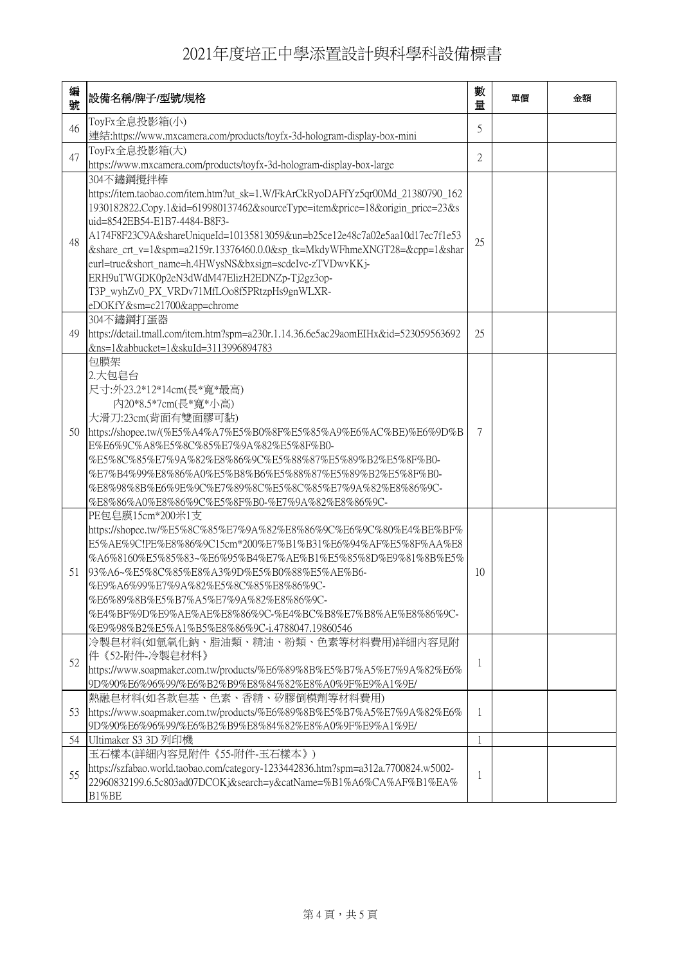| 編<br>號 | 設備名稱/牌子/型號/規格                                                                                                                                                                                                                                                                                                                                                                                                                                                                                                                                                  | 數<br>量       | 單價 | 金額 |
|--------|----------------------------------------------------------------------------------------------------------------------------------------------------------------------------------------------------------------------------------------------------------------------------------------------------------------------------------------------------------------------------------------------------------------------------------------------------------------------------------------------------------------------------------------------------------------|--------------|----|----|
| 46     | ToyFx全息投影箱(小)<br>連結:https://www.mxcamera.com/products/toyfx-3d-hologram-display-box-mini                                                                                                                                                                                                                                                                                                                                                                                                                                                                       | 5            |    |    |
| 47     | ToyFx全息投影箱(大)<br>https://www.mxcamera.com/products/toyfx-3d-hologram-display-box-large                                                                                                                                                                                                                                                                                                                                                                                                                                                                         | 2            |    |    |
| 48     | 304不鏽鋼攪拌棒<br>https://item.taobao.com/item.htm?ut sk=1.W/FkArCkRyoDAFfYz5qr00Md 21380790 162<br>1930182822.Copy.1&id=619980137462&sourceType=item&price=18&origin price=23&s<br>uid=8542EB54-E1B7-4484-B8F3-<br>A174F8F23C9A&shareUniqueId=10135813059&un=b25ce12e48c7a02e5aa10d17ec7f1e53<br>&share_crt_v=1&spm=a2159r.13376460.0.0&sp_tk=MkdyWFhmeXNGT28=&cpp=1&shar<br>eurl=true&short_name=h.4HWysNS&bxsign=scdeIvc-zTVDwvKKj-<br>ERH9uTWGDK0p2eN3dWdM47ElizH2EDNZp-Tj2gz3op-<br>T3P_wyhZv0_PX_VRDv71MfLOo8f5PRtzpHs9gnWLXR-<br>eDOKfY&sm=c21700&app=chrome | 25           |    |    |
| 49     | 304不鏽鋼打蛋器<br>https://detail.tmall.com/item.htm?spm=a230r.1.14.36.6e5ac29aomEIHx&id=523059563692<br>&ns=1&abbucket=1&skuId=3113996894783                                                                                                                                                                                                                                                                                                                                                                                                                        | 25           |    |    |
| 50     | 包膜架<br>2.大包皂台<br>尺寸:外23.2*12*14cm(長*寬*最高)<br>內20*8.5*7cm(長*寬*小高)<br>大滑刀:23cm(背面有雙面膠可黏)<br>https://shopee.tw/(%E5%A4%A7%E5%B0%8F%E5%85%A9%E6%AC%BE)%E6%9D%B<br>E%E6%9C%A8%E5%8C%85%E7%9A%82%E5%8F%B0-<br>%E5%8C%85%E7%9A%82%E8%86%9C%E5%88%87%E5%89%B2%E5%8F%B0-<br>%E7%B4%99%E8%86%A0%E5%B8%B6%E5%88%87%E5%89%B2%E5%8F%B0-<br>%E8%98%8B%E6%9E%9C%E7%89%8C%E5%8C%85%E7%9A%82%E8%86%9C-<br>%E8%86%A0%E8%86%9C%E5%8F%B0-%E7%9A%82%E8%86%9C-                                                                                                                       | 7            |    |    |
| 51     | PE包皂膜15cm*200米1支<br>https://shopee.tw/%E5%8C%85%E7%9A%82%E8%86%9C%E6%9C%80%E4%BE%BF%<br>E5%AE%9C!PE%E8%86%9C15cm*200%E7%B1%B31%E6%94%AF%E5%8F%AA%E8<br>%A6%8160%E5%85%83~%E6%95%B4%E7%AE%B1%E5%85%8D%E9%81%8B%E5%<br>l93%A6~%E5%8C%85%E8%A3%9D%E5%B0%88%E5%AE%B6-<br>%E9%A6%99%E7%9A%82%E5%8C%85%E8%86%9C-<br>%E6%89%8B%E5%B7%A5%E7%9A%82%E8%86%9C-<br>%E4%BF%9D%E9%AE%AE%E8%86%9C-%E4%BC%B8%E7%B8%AE%E8%86%9C-<br>%E9%98%B2%E5%A1%B5%E8%86%9C-i.4788047.19860546                                                                                              | 10           |    |    |
| 52     | 冷製皂材料(如氫氧化鈉、脂油類、精油、粉類、色素等材料費用)詳細内容見附<br> 件《52-附件-冷製皂材料》<br>https://www.soapmaker.com.tw/products/%E6%89%8B%E5%B7%A5%E7%9A%82%E6%<br>9D%90%E6%96%99/%E6%B2%B9%E8%84%82%E8%A0%9F%E9%A1%9E/                                                                                                                                                                                                                                                                                                                                                                       | 1            |    |    |
| 53     | 熱融皂材料(如各款皂基、色素、香精、矽膠倒模劑等材料費用)<br>https://www.soapmaker.com.tw/products/%E6%89%8B%E5%B7%A5%E7%9A%82%E6%<br>9D%90%E6%96%99/%E6%B2%B9%E8%84%82%E8%A0%9F%E9%A1%9E/                                                                                                                                                                                                                                                                                                                                                                                                 | 1            |    |    |
| 54     | Ultimaker S3 3D 列印機                                                                                                                                                                                                                                                                                                                                                                                                                                                                                                                                            | $\mathbf{1}$ |    |    |
| 55     | 玉石樣本(詳細內容見附件《55-附件-玉石樣本》)<br>https://szfabao.world.taobao.com/category-1233442836.htm?spm=a312a.7700824.w5002-<br>22960832199.6.5c803ad07DCOKj&search=y&catName=%B1%A6%CA%AF%B1%EA%<br>B1%BE                                                                                                                                                                                                                                                                                                                                                                   | 1            |    |    |